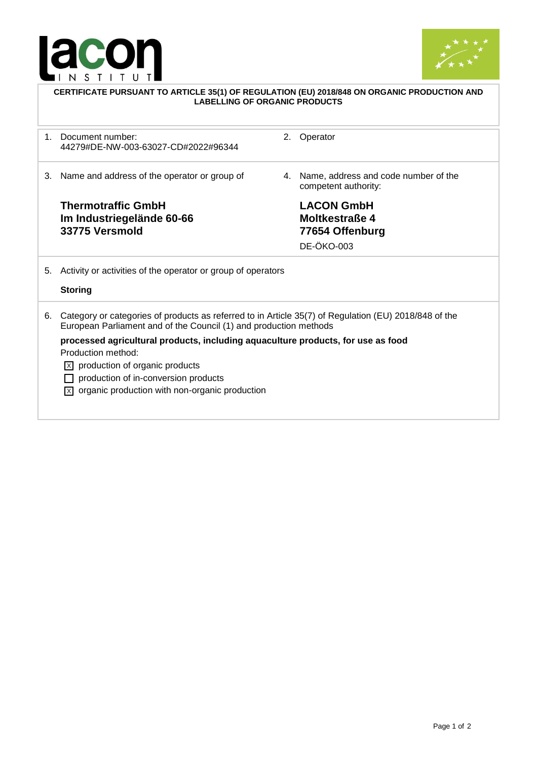



| CERTIFICATE PURSUANT TO ARTICLE 35(1) OF REGULATION (EU) 2018/848 ON ORGANIC PRODUCTION AND<br><b>LABELLING OF ORGANIC PRODUCTS</b> |                                                                                                                                                                                                                                                                    |    |                                                                                    |  |
|-------------------------------------------------------------------------------------------------------------------------------------|--------------------------------------------------------------------------------------------------------------------------------------------------------------------------------------------------------------------------------------------------------------------|----|------------------------------------------------------------------------------------|--|
| $1_{-}$                                                                                                                             | Document number:<br>44279#DE-NW-003-63027-CD#2022#96344                                                                                                                                                                                                            | 2. | Operator                                                                           |  |
| 3.                                                                                                                                  | Name and address of the operator or group of                                                                                                                                                                                                                       | 4. | Name, address and code number of the<br>competent authority:                       |  |
|                                                                                                                                     | <b>Thermotraffic GmbH</b><br>Im Industriegelände 60-66<br>33775 Versmold                                                                                                                                                                                           |    | <b>LACON GmbH</b><br><b>Moltkestraße 4</b><br>77654 Offenburg<br><b>DE-ÖKO-003</b> |  |
| 5.                                                                                                                                  | Activity or activities of the operator or group of operators<br><b>Storing</b>                                                                                                                                                                                     |    |                                                                                    |  |
| 6.                                                                                                                                  | Category or categories of products as referred to in Article 35(7) of Regulation (EU) 2018/848 of the<br>European Parliament and of the Council (1) and production methods                                                                                         |    |                                                                                    |  |
|                                                                                                                                     | processed agricultural products, including aquaculture products, for use as food<br>Production method:<br>$\overline{X}$ production of organic products<br>production of in-conversion products<br>$[\overline{x}]$ organic production with non-organic production |    |                                                                                    |  |